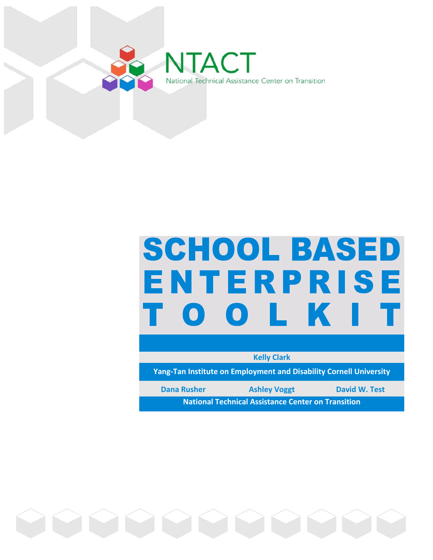

# **SCHOOL BASED** ENTERPRISE . L.  $\mathbf{O}$

**Kelly Clark**

**Yang-Tan Institute on Employment and Disability Cornell University**

**National Technical Assistance Center on Transition Dana Rusher Ashley Voggt David W. Test** 

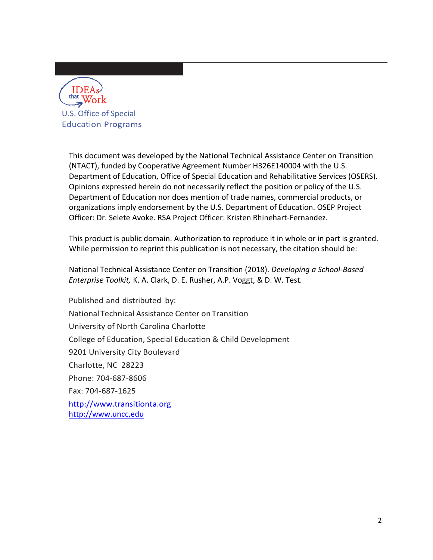

This document was developed by the National Technical Assistance Center on Transition (NTACT), funded by Cooperative Agreement Number H326E140004 with the U.S. Department of Education, Office of Special Education and Rehabilitative Services (OSERS). Opinions expressed herein do not necessarily reflect the position or policy of the U.S. Department of Education nor does mention of trade names, commercial products, or organizations imply endorsement by the U.S. Department of Education. OSEP Project Officer: Dr. Selete Avoke. RSA Project Officer: Kristen Rhinehart-Fernandez.

This product is public domain. Authorization to reproduce it in whole or in part is granted. While permission to reprint this publication is not necessary, the citation should be:

National Technical Assistance Center on Transition (2018). *Developing a School-Based Enterprise Toolkit,* K. A. Clark, D. E. Rusher, A.P. Voggt, & D. W. Test*.*

Published and distributed by: National Technical Assistance Center on Transition University of North Carolina Charlotte College of Education, Special Education & Child Development 9201 University City Boulevard Charlotte, NC 28223 Phone: 704-687-8606 Fax: 704-687-1625 [http://www.transitionta.org](http://www.transitionta.org/) [http://www.uncc.edu](http://www.uncc.edu/)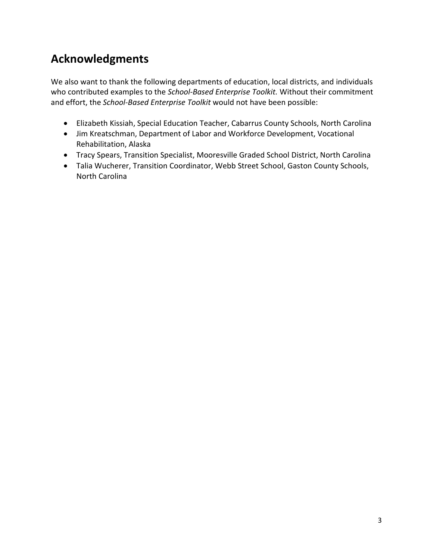# **Acknowledgments**

We also want to thank the following departments of education, local districts, and individuals who contributed examples to the *School-Based Enterprise Toolkit.* Without their commitment and effort, the *School-Based Enterprise Toolkit* would not have been possible:

- Elizabeth Kissiah, Special Education Teacher, Cabarrus County Schools, North Carolina
- Jim Kreatschman, Department of Labor and Workforce Development, Vocational Rehabilitation, Alaska
- Tracy Spears, Transition Specialist, Mooresville Graded School District, North Carolina
- Talia Wucherer, Transition Coordinator, Webb Street School, Gaston County Schools, North Carolina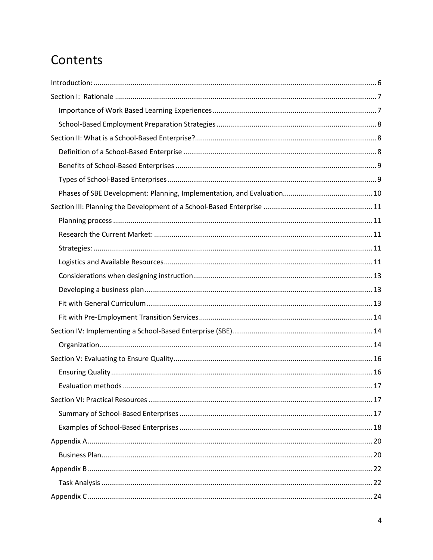# Contents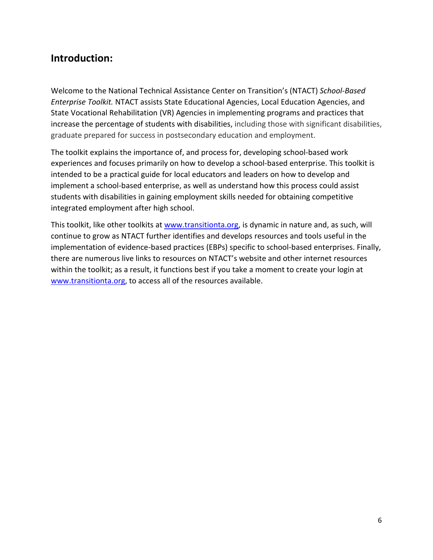# <span id="page-5-0"></span>**Introduction:**

Welcome to the National Technical Assistance Center on Transition's (NTACT) *School-Based Enterprise Toolkit.* NTACT assists State Educational Agencies, Local Education Agencies, and State Vocational Rehabilitation (VR) Agencies in implementing programs and practices that increase the percentage of students with disabilities, including those with significant disabilities, graduate prepared for success in postsecondary education and employment.

The toolkit explains the importance of, and process for, developing school-based work experiences and focuses primarily on how to develop a school-based enterprise. This toolkit is intended to be a practical guide for local educators and leaders on how to develop and implement a school-based enterprise, as well as understand how this process could assist students with disabilities in gaining employment skills needed for obtaining competitive integrated employment after high school.

This toolkit, like other toolkits at [www.transitionta.org,](http://www.transitionta.org/) is dynamic in nature and, as such, will continue to grow as NTACT further identifies and develops resources and tools useful in the implementation of evidence-based practices (EBPs) specific to school-based enterprises. Finally, there are numerous live links to resources on NTACT's website and other internet resources within the toolkit; as a result, it functions best if you take a moment to create your login at [www.transitionta.org,](http://www.transitionta.org/) to access all of the resources available.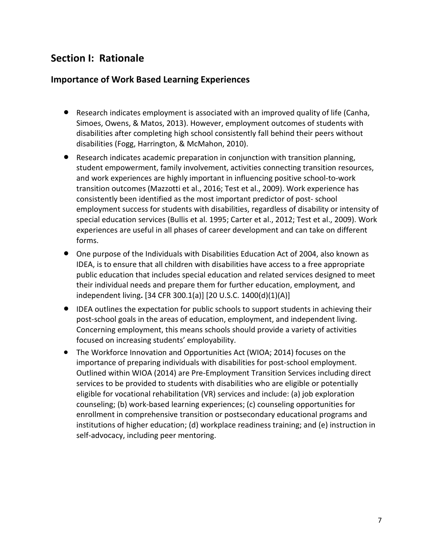# <span id="page-6-0"></span>**Section I: Rationale**

#### <span id="page-6-1"></span>**Importance of Work Based Learning Experiences**

- Research indicates employment is associated with an improved quality of life (Canha, Simoes, Owens, & Matos, 2013). However, employment outcomes of students with disabilities after completing high school consistently fall behind their peers without disabilities (Fogg, Harrington, & McMahon, 2010).
- Research indicates academic preparation in conjunction with transition planning, student empowerment, family involvement, activities connecting transition resources, and work experiences are highly important in influencing positive school-to-work transition outcomes (Mazzotti et al., 2016; Test et al., 2009). Work experience has consistently been identified as the most important predictor of post- school employment success for students with disabilities, regardless of disability or intensity of special education services (Bullis et al. 1995; Carter et al., 2012; Test et al., 2009). Work experiences are useful in all phases of career development and can take on different forms.
- One purpose of the Individuals with Disabilities Education Act of 2004, also known as IDEA, is to ensure that all children with disabilities have access to a free appropriate public education that includes special education and related services designed to meet their individual needs and prepare them for further education, employment*,* and independent living**.** [34 CFR 300.1(a)] [20 U.S.C. 1400(d)(1)(A)]
- IDEA outlines the expectation for public schools to support students in achieving their post-school goals in the areas of education, employment, and independent living. Concerning employment, this means schools should provide a variety of activities focused on increasing students' employability.
- The Workforce Innovation and Opportunities Act (WIOA; 2014) focuses on the importance of preparing individuals with disabilities for post-school employment. Outlined within WIOA (2014) are Pre-Employment Transition Services including direct services to be provided to students with disabilities who are eligible or potentially eligible for vocational rehabilitation (VR) services and include: (a) job exploration counseling; (b) work-based learning experiences; (c) counseling opportunities for enrollment in comprehensive transition or postsecondary educational programs and institutions of higher education; (d) workplace readiness training; and (e) instruction in self-advocacy, including peer mentoring.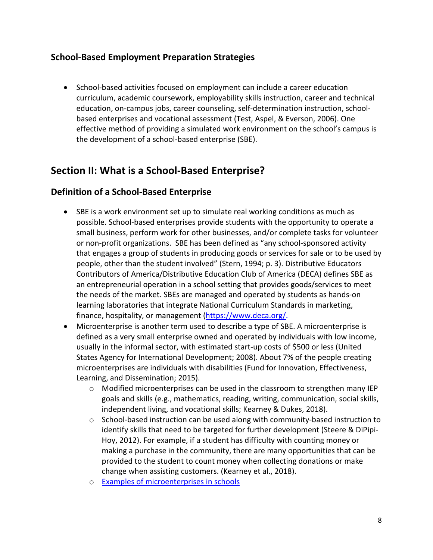#### <span id="page-7-0"></span>**School-Based Employment Preparation Strategies**

• School-based activities focused on employment can include a career education curriculum, academic coursework, employability skills instruction, career and technical education, on-campus jobs, career counseling, self-determination instruction, schoolbased enterprises and vocational assessment (Test, Aspel, & Everson, 2006). One effective method of providing a simulated work environment on the school's campus is the development of a school-based enterprise (SBE).

# <span id="page-7-1"></span>**Section II: What is a School-Based Enterprise?**

### <span id="page-7-2"></span>**Definition of a School-Based Enterprise**

- SBE is a work environment set up to simulate real working conditions as much as possible. School-based enterprises provide students with the opportunity to operate a small business, perform work for other businesses, and/or complete tasks for volunteer or non-profit organizations. SBE has been defined as "any school-sponsored activity that engages a group of students in producing goods or services for sale or to be used by people, other than the student involved" (Stern, 1994; p. 3). Distributive Educators Contributors of America/Distributive Education Club of America (DECA) defines SBE as an entrepreneurial operation in a school setting that provides goods/services to meet the needs of the market. SBEs are managed and operated by students as hands-on learning laboratories that integrate National Curriculum Standards in marketing, finance, hospitality, or management [\(https://www.deca.org/.](https://www.deca.org/)
- Microenterprise is another term used to describe a type of SBE. A microenterprise is defined as a very small enterprise owned and operated by individuals with low income, usually in the informal sector, with estimated start-up costs of \$500 or less (United States Agency for International Development; 2008). About 7% of the people creating microenterprises are individuals with disabilities (Fund for Innovation, Effectiveness, Learning, and Dissemination; 2015).
	- o Modified microenterprises can be used in the classroom to strengthen many IEP goals and skills (e.g., mathematics, reading, writing, communication, social skills, independent living, and vocational skills; Kearney & Dukes, 2018).
	- o School-based instruction can be used along with community-based instruction to identify skills that need to be targeted for further development (Steere & DiPipi-Hoy, 2012). For example, if a student has difficulty with counting money or making a purchase in the community, there are many opportunities that can be provided to the student to count money when collecting donations or make change when assisting customers. (Kearney et al., 2018).
	- o [Examples of microenterprises in schools](https://www.inc.com/tom-foster/how-kids-become-entrepreneurs.html)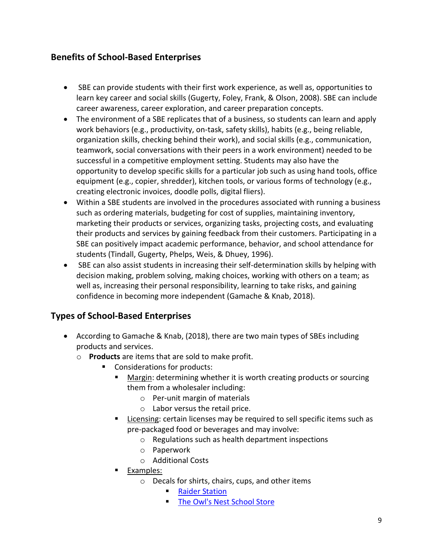## <span id="page-8-0"></span>**Benefits of School-Based Enterprises**

- SBE can provide students with their first work experience, as well as, opportunities to learn key career and social skills (Gugerty, Foley, Frank, & Olson, 2008). SBE can include career awareness, career exploration, and career preparation concepts.
- The environment of a SBE replicates that of a business, so students can learn and apply work behaviors (e.g., productivity, on-task, safety skills), habits (e.g., being reliable, organization skills, checking behind their work), and social skills (e.g., communication, teamwork, social conversations with their peers in a work environment) needed to be successful in a competitive employment setting. Students may also have the opportunity to develop specific skills for a particular job such as using hand tools, office equipment (e.g., copier, shredder), kitchen tools, or various forms of technology (e.g., creating electronic invoices, doodle polls, digital fliers).
- Within a SBE students are involved in the procedures associated with running a business such as ordering materials, budgeting for cost of supplies, maintaining inventory, marketing their products or services, organizing tasks, projecting costs, and evaluating their products and services by gaining feedback from their customers. Participating in a SBE can positively impact academic performance, behavior, and school attendance for students (Tindall, Gugerty, Phelps, Weis, & Dhuey, 1996).
- SBE can also assist students in increasing their self-determination skills by helping with decision making, problem solving, making choices, working with others on a team; as well as, increasing their personal responsibility, learning to take risks, and gaining confidence in becoming more independent (Gamache & Knab, 2018).

### <span id="page-8-1"></span>**Types of School-Based Enterprises**

- According to Gamache & Knab, (2018), there are two main types of SBEs including products and services.
	- o **Products** are items that are sold to make profit.
		- Considerations for products:
			- Margin: determining whether it is worth creating products or sourcing them from a wholesaler including:
				- o Per-unit margin of materials
				- o Labor versus the retail price.
			- Licensing: certain licenses may be required to sell specific items such as pre-packaged food or beverages and may involve:
				- o Regulations such as health department inspections
				- o Paperwork
				- o Additional Costs
			- Examples:
				- o Decals for shirts, chairs, cups, and other items
					- **[Raider Station](https://squareup.com/store/raiderstation)**
					- [The Owl's Nest School Store](https://jshs.ascisd.net/apps/pages/index.jsp?uREC_ID=608825&type=d&pREC_ID=1097797)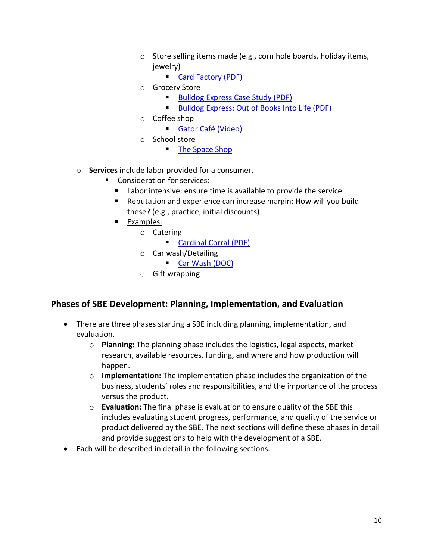- o Store selling items made (e.g., corn hole boards, holiday items, jewelry)
	- **[Card Factory \(PDF\)](https://na01.safelinks.protection.outlook.com/?url=https%3A%2F%2Fdrive.google.com%2Fa%2Funcc.edu%2Ffile%2Fd%2F15qR5DTB3UkOZtcAXw--b543HszKE9-LD%2Fview%3Fusp%3Ddrive_web&data=02%7C01%7Cshana.arias%40ucf.edu%7C455064d357c24827686708d696a924d6%7Cbb932f15ef3842ba91fcf3c59d5dd1f1%7C0%7C0%7C636862051598420837&sdata=koStMjTjAI56eaiWKzgg6EdciBh0zXqYZJEANPZX5q4%3D&reserved=0)**
- o Grocery Store
	- Bulldog Express Case Study (PDF)
	- [Bulldog Express: Out of Books Into Life \(PDF\)](http://www.k-state.edu/cecd/docs/pdfs/Bulldog%20Express.pdf)
- o Coffee shop
	- **[Gator Café \(Video\)](https://vimeo.com/138124183)**
- o School store
	- **The [Space Shop](https://highschool.marsk12.org/apps/pages/index.jsp?uREC_ID=800047&type=d&pREC_ID=1189660)**
- o **Services** include labor provided for a consumer.
	- **Consideration for services:** 
		- Labor intensive: ensure time is available to provide the service
		- Reputation and experience can increase margin: How will you build these? (e.g., practice, initial discounts)
		- Examples:
			- o Catering
				- Cardinal Corral (PDF)
			- o Car wash/Detailing
				- **[Car Wash \(DOC\)](https://na01.safelinks.protection.outlook.com/?url=https%3A%2F%2Fdrive.google.com%2Fa%2Funcc.edu%2Ffile%2Fd%2F1F9iPY4h70XC852q_vcPahEQ7ZqSctoA-%2Fview%3Fusp%3Ddrive_web&data=02%7C01%7Cshana.arias%40ucf.edu%7C455064d357c24827686708d696a924d6%7Cbb932f15ef3842ba91fcf3c59d5dd1f1%7C0%7C0%7C636862051598410828&sdata=mFE3dHg%2F87iyFGtHniurA7RZrLGmN5BGwTya%2FXVzitc%3D&reserved=0)**
			- o Gift wrapping

#### <span id="page-9-0"></span>**Phases of SBE Development: Planning, Implementation, and Evaluation**

- There are three phases starting a SBE including planning, implementation, and evaluation.
	- o **Planning:** The planning phase includes the logistics, legal aspects, market research, available resources, funding, and where and how production will happen.
	- o **Implementation:** The implementation phase includes the organization of the business, students' roles and responsibilities, and the importance of the process versus the product.
	- o **Evaluation:** The final phase is evaluation to ensure quality of the SBE this includes evaluating student progress, performance, and quality of the service or product delivered by the SBE. The next sections will define these phases in detail and provide suggestions to help with the development of a SBE.
- Each will be described in detail in the following sections.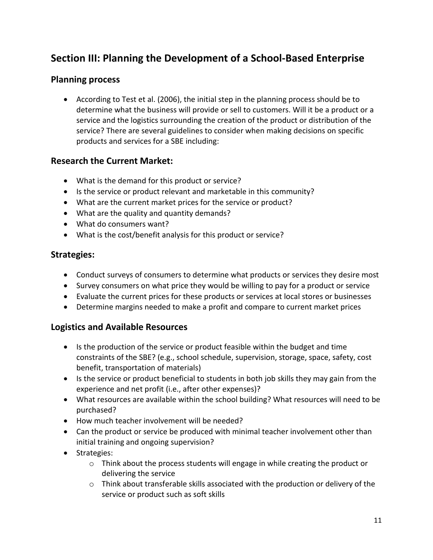# <span id="page-10-0"></span>**Section III: Planning the Development of a School-Based Enterprise**

#### <span id="page-10-1"></span>**Planning process**

• According to Test et al. (2006), the initial step in the planning process should be to determine what the business will provide or sell to customers. Will it be a product or a service and the logistics surrounding the creation of the product or distribution of the service? There are several guidelines to consider when making decisions on specific products and services for a SBE including:

### <span id="page-10-2"></span>**Research the Current Market:**

- What is the demand for this product or service?
- Is the service or product relevant and marketable in this community?
- What are the current market prices for the service or product?
- What are the quality and quantity demands?
- What do consumers want?
- What is the cost/benefit analysis for this product or service?

#### <span id="page-10-3"></span>**Strategies:**

- Conduct surveys of consumers to determine what products or services they desire most
- Survey consumers on what price they would be willing to pay for a product or service
- Evaluate the current prices for these products or services at local stores or businesses
- Determine margins needed to make a profit and compare to current market prices

#### <span id="page-10-4"></span>**Logistics and Available Resources**

- Is the production of the service or product feasible within the budget and time constraints of the SBE? (e.g., school schedule, supervision, storage, space, safety, cost benefit, transportation of materials)
- Is the service or product beneficial to students in both job skills they may gain from the experience and net profit (i.e., after other expenses)?
- What resources are available within the school building? What resources will need to be purchased?
- How much teacher involvement will be needed?
- Can the product or service be produced with minimal teacher involvement other than initial training and ongoing supervision?
- Strategies:
	- $\circ$  Think about the process students will engage in while creating the product or delivering the service
	- o Think about transferable skills associated with the production or delivery of the service or product such as soft skills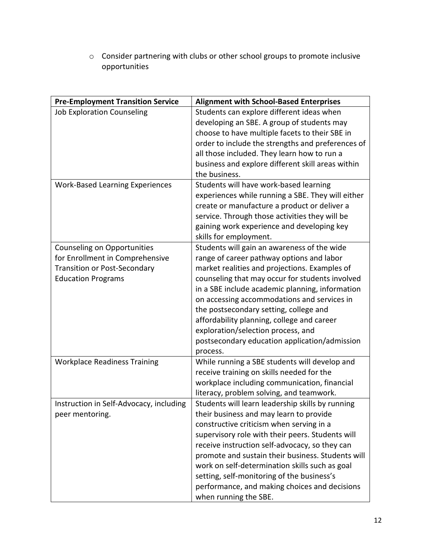o Consider partnering with clubs or other school groups to promote inclusive opportunities

| <b>Pre-Employment Transition Service</b> | <b>Alignment with School-Based Enterprises</b>    |
|------------------------------------------|---------------------------------------------------|
| <b>Job Exploration Counseling</b>        | Students can explore different ideas when         |
|                                          | developing an SBE. A group of students may        |
|                                          | choose to have multiple facets to their SBE in    |
|                                          | order to include the strengths and preferences of |
|                                          | all those included. They learn how to run a       |
|                                          | business and explore different skill areas within |
|                                          | the business.                                     |
| <b>Work-Based Learning Experiences</b>   | Students will have work-based learning            |
|                                          | experiences while running a SBE. They will either |
|                                          | create or manufacture a product or deliver a      |
|                                          | service. Through those activities they will be    |
|                                          | gaining work experience and developing key        |
|                                          | skills for employment.                            |
| Counseling on Opportunities              | Students will gain an awareness of the wide       |
| for Enrollment in Comprehensive          | range of career pathway options and labor         |
| <b>Transition or Post-Secondary</b>      | market realities and projections. Examples of     |
| <b>Education Programs</b>                | counseling that may occur for students involved   |
|                                          | in a SBE include academic planning, information   |
|                                          | on accessing accommodations and services in       |
|                                          | the postsecondary setting, college and            |
|                                          | affordability planning, college and career        |
|                                          | exploration/selection process, and                |
|                                          | postsecondary education application/admission     |
|                                          | process.                                          |
| <b>Workplace Readiness Training</b>      | While running a SBE students will develop and     |
|                                          | receive training on skills needed for the         |
|                                          | workplace including communication, financial      |
|                                          | literacy, problem solving, and teamwork.          |
| Instruction in Self-Advocacy, including  | Students will learn leadership skills by running  |
| peer mentoring.                          | their business and may learn to provide           |
|                                          | constructive criticism when serving in a          |
|                                          | supervisory role with their peers. Students will  |
|                                          | receive instruction self-advocacy, so they can    |
|                                          | promote and sustain their business. Students will |
|                                          | work on self-determination skills such as goal    |
|                                          | setting, self-monitoring of the business's        |
|                                          | performance, and making choices and decisions     |
|                                          | when running the SBE.                             |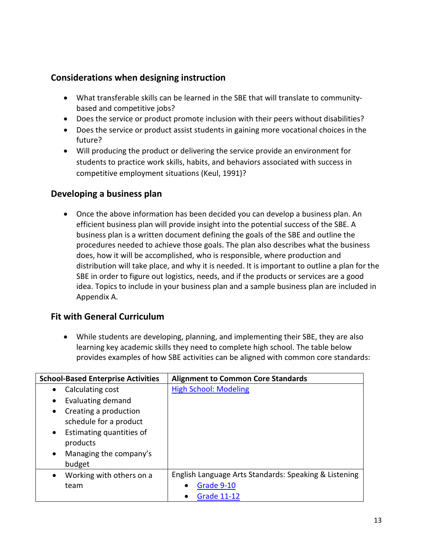### <span id="page-12-0"></span>**Considerations when designing instruction**

- What transferable skills can be learned in the SBE that will translate to communitybased and competitive jobs?
- Does the service or product promote inclusion with their peers without disabilities?
- Does the service or product assist students in gaining more vocational choices in the future?
- Will producing the product or delivering the service provide an environment for students to practice work skills, habits, and behaviors associated with success in competitive employment situations (Keul, 1991)?

### <span id="page-12-1"></span>**Developing a business plan**

• Once the above information has been decided you can develop a business plan. An efficient business plan will provide insight into the potential success of the SBE. A business plan is a written document defining the goals of the SBE and outline the procedures needed to achieve those goals. The plan also describes what the business does, how it will be accomplished, who is responsible, where production and distribution will take place, and why it is needed. It is important to outline a plan for the SBE in order to figure out logistics, needs, and if the products or services are a good idea. Topics to include in your business plan and a sample business plan are included in Appendix A.

### <span id="page-12-2"></span>**Fit with General Curriculum**

• While students are developing, planning, and implementing their SBE, they are also learning key academic skills they need to complete high school. The table below provides examples of how SBE activities can be aligned with common core standards:

| <b>School-Based Enterprise Activities</b> | <b>Alignment to Common Core Standards</b>             |
|-------------------------------------------|-------------------------------------------------------|
| Calculating cost                          | <b>High School: Modeling</b>                          |
| Evaluating demand                         |                                                       |
| Creating a production<br>$\bullet$        |                                                       |
| schedule for a product                    |                                                       |
| Estimating quantities of<br>$\bullet$     |                                                       |
| products                                  |                                                       |
| Managing the company's<br>$\bullet$       |                                                       |
| budget                                    |                                                       |
| Working with others on a<br>$\bullet$     | English Language Arts Standards: Speaking & Listening |
| team                                      | Grade 9-10                                            |
|                                           | <b>Grade 11-12</b>                                    |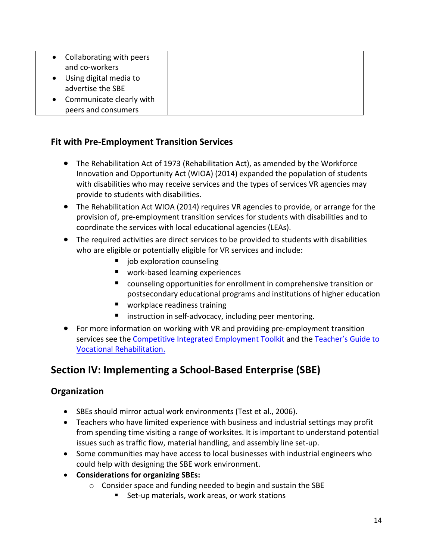| Collaborating with peers<br>and co-workers      |  |
|-------------------------------------------------|--|
| Using digital media to<br>advertise the SBE     |  |
| Communicate clearly with<br>peers and consumers |  |

### <span id="page-13-0"></span>**Fit with Pre-Employment Transition Services**

- The Rehabilitation Act of 1973 (Rehabilitation Act), as amended by the Workforce Innovation and Opportunity Act (WIOA) (2014) expanded the population of students with disabilities who may receive services and the types of services VR agencies may provide to students with disabilities.
- The Rehabilitation Act WIOA (2014) requires VR agencies to provide, or arrange for the provision of, pre-employment transition services for students with disabilities and to coordinate the services with local educational agencies (LEAs).
- The required activities are direct services to be provided to students with disabilities who are eligible or potentially eligible for VR services and include:
	- $\blacksquare$  job exploration counseling
	- **U** work-based learning experiences
	- counseling opportunities for enrollment in comprehensive transition or postsecondary educational programs and institutions of higher education
	- **U** workplace readiness training
	- **I** instruction in self-advocacy, including peer mentoring.
- For more information on working with VR and providing pre-employment transition services see the [Competitive Integrated Employment Toolkit](https://www.transitionta.org/cietoolkit) and the [Teacher's Guide to](https://transitionta.org/sites/default/files/news/TeachersGuide_VR_FINAL_November17.pdf)  [Vocational Rehabilitation.](https://transitionta.org/sites/default/files/news/TeachersGuide_VR_FINAL_November17.pdf)

# <span id="page-13-1"></span>**Section IV: Implementing a School-Based Enterprise (SBE)**

### <span id="page-13-2"></span>**Organization**

- SBEs should mirror actual work environments (Test et al., 2006).
- Teachers who have limited experience with business and industrial settings may profit from spending time visiting a range of worksites. It is important to understand potential issues such as traffic flow, material handling, and assembly line set-up.
- Some communities may have access to local businesses with industrial engineers who could help with designing the SBE work environment.
- **Considerations for organizing SBEs:** 
	- o Consider space and funding needed to begin and sustain the SBE
		- Set-up materials, work areas, or work stations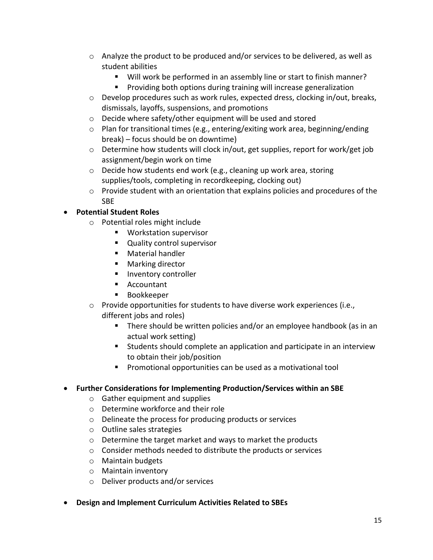- $\circ$  Analyze the product to be produced and/or services to be delivered, as well as student abilities
	- Will work be performed in an assembly line or start to finish manner?
	- **Providing both options during training will increase generalization**
- $\circ$  Develop procedures such as work rules, expected dress, clocking in/out, breaks, dismissals, layoffs, suspensions, and promotions
- o Decide where safety/other equipment will be used and stored
- $\circ$  Plan for transitional times (e.g., entering/exiting work area, beginning/ending break) – focus should be on downtime)
- o Determine how students will clock in/out, get supplies, report for work/get job assignment/begin work on time
- o Decide how students end work (e.g., cleaning up work area, storing supplies/tools, completing in recordkeeping, clocking out)
- $\circ$  Provide student with an orientation that explains policies and procedures of the SBE

#### • **Potential Student Roles**

- o Potential roles might include
	- **Workstation supervisor**
	- **Quality control supervisor**
	- **Material handler**
	- Marking director
	- **Inventory controller**
	- Accountant
	- **Bookkeeper**
- o Provide opportunities for students to have diverse work experiences (i.e., different jobs and roles)
	- There should be written policies and/or an employee handbook (as in an actual work setting)
	- Students should complete an application and participate in an interview to obtain their job/position
	- Promotional opportunities can be used as a motivational tool

#### • **Further Considerations for Implementing Production/Services within an SBE**

- o Gather equipment and supplies
- o Determine workforce and their role
- o Delineate the process for producing products or services
- o Outline sales strategies
- o Determine the target market and ways to market the products
- o Consider methods needed to distribute the products or services
- o Maintain budgets
- o Maintain inventory
- o Deliver products and/or services
- **Design and Implement Curriculum Activities Related to SBEs**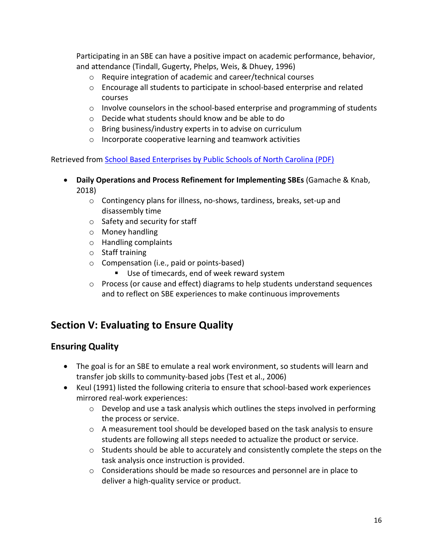Participating in an SBE can have a positive impact on academic performance, behavior, and attendance (Tindall, Gugerty, Phelps, Weis, & Dhuey, 1996)

- o Require integration of academic and career/technical courses
- $\circ$  Encourage all students to participate in school-based enterprise and related courses
- $\circ$  Involve counselors in the school-based enterprise and programming of students
- o Decide what students should know and be able to do
- o Bring business/industry experts in to advise on curriculum
- o Incorporate cooperative learning and teamwork activities

Retrieved from [School Based Enterprises by Public Schools of North Carolina \(PDF\)](https://ec.ncpublicschools.gov/disability-resources/intellectual-disabilities/ocs/school-based-enterprise.pdf)

- **Daily Operations and Process Refinement for Implementing SBEs** (Gamache & Knab, 2018)
	- o Contingency plans for illness, no-shows, tardiness, breaks, set-up and disassembly time
	- o Safety and security for staff
	- o Money handling
	- o Handling complaints
	- o Staff training
	- o Compensation (i.e., paid or points-based)
		- Use of timecards, end of week reward system
	- o Process (or cause and effect) diagrams to help students understand sequences and to reflect on SBE experiences to make continuous improvements

# <span id="page-15-0"></span>**Section V: Evaluating to Ensure Quality**

#### <span id="page-15-1"></span>**Ensuring Quality**

- The goal is for an SBE to emulate a real work environment, so students will learn and transfer job skills to community-based jobs (Test et al., 2006)
- Keul (1991) listed the following criteria to ensure that school-based work experiences mirrored real-work experiences:
	- o Develop and use a task analysis which outlines the steps involved in performing the process or service.
	- o A measurement tool should be developed based on the task analysis to ensure students are following all steps needed to actualize the product or service.
	- $\circ$  Students should be able to accurately and consistently complete the steps on the task analysis once instruction is provided.
	- o Considerations should be made so resources and personnel are in place to deliver a high-quality service or product.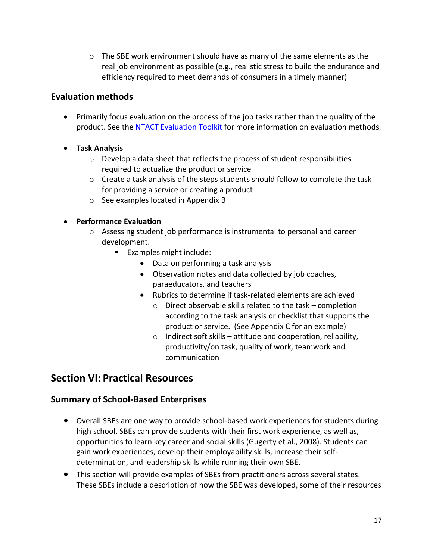$\circ$  The SBE work environment should have as many of the same elements as the real job environment as possible (e.g., realistic stress to build the endurance and efficiency required to meet demands of consumers in a timely manner)

# <span id="page-16-0"></span>**Evaluation methods**

- Primarily focus evaluation on the process of the job tasks rather than the quality of the product. See the [NTACT Evaluation Toolkit](https://www.transitionta.org/evaluationtoolkit) for more information on evaluation methods.
- **Task Analysis**
	- o Develop a data sheet that reflects the process of student responsibilities required to actualize the product or service
	- $\circ$  Create a task analysis of the steps students should follow to complete the task for providing a service or creating a product
	- o See examples located in Appendix B

#### • **Performance Evaluation**

- o Assessing student job performance is instrumental to personal and career development.
	- **Examples might include:** 
		- Data on performing a task analysis
		- Observation notes and data collected by job coaches, paraeducators, and teachers
		- Rubrics to determine if task-related elements are achieved
			- $\circ$  Direct observable skills related to the task completion according to the task analysis or checklist that supports the product or service. (See Appendix C for an example)
			- $\circ$  Indirect soft skills attitude and cooperation, reliability, productivity/on task, quality of work, teamwork and communication

# <span id="page-16-1"></span>**Section VI: Practical Resources**

### <span id="page-16-2"></span>**Summary of School-Based Enterprises**

- Overall SBEs are one way to provide school-based work experiences for students during high school. SBEs can provide students with their first work experience, as well as, opportunities to learn key career and social skills (Gugerty et al., 2008). Students can gain work experiences, develop their employability skills, increase their selfdetermination, and leadership skills while running their own SBE.
- This section will provide examples of SBEs from practitioners across several states. These SBEs include a description of how the SBE was developed, some of their resources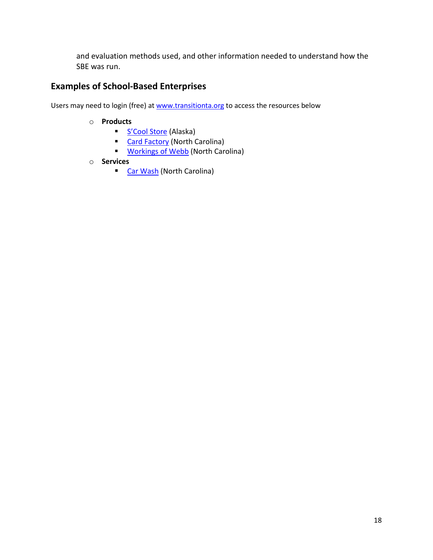and evaluation methods used, and other information needed to understand how the SBE was run.

# <span id="page-17-0"></span>**Examples of School-Based Enterprises**

Users may need to login (free) at [www.transitionta.org](https://na01.safelinks.protection.outlook.com/?url=http%3A%2F%2Fwww.transitionta.org&data=02%7C01%7CShana.Arias%40ucf.edu%7C4fe2effebc0b4dddafc908d69d88682a%7Cbb932f15ef3842ba91fcf3c59d5dd1f1%7C0%7C0%7C636869606526750695&sdata=lRwwYsiwx45ahQYtfCSiGX6xtpNnGwD%2B11XXoUK0fAM%3D&reserved=0) to access the resources below

- o **Products** 
	- [S'Cool Store](https://www.transitionta.org/system/files/resourcetrees/SBE_S%E2%80%99Cool%20Store%20%281%29%20%281%29.pdf?file=1&type=node&id=1709&force=) (Alaska)
	- **[Card Factory](https://www.transitionta.org/system/files/resourcetrees/SBE_Card%20Factory%20%281%29%20%281%29.pdf?file=1&type=node&id=1710&force=) (North Carolina)**
	- **[Workings of Webb](https://www.transitionta.org/system/files/resourcetrees/SBE_Workings%20of%20Webb%20%281%29%20%281%29.pdf?file=1&type=node&id=1708&force=) (North Carolina)**
- o **Services**
	- **[Car Wash](https://www.transitionta.org/system/files/resourcetrees/SBE_Car%20Wash%20%281%29%20%281%29.pdf?file=1&type=node&id=1711&force=) (North Carolina)**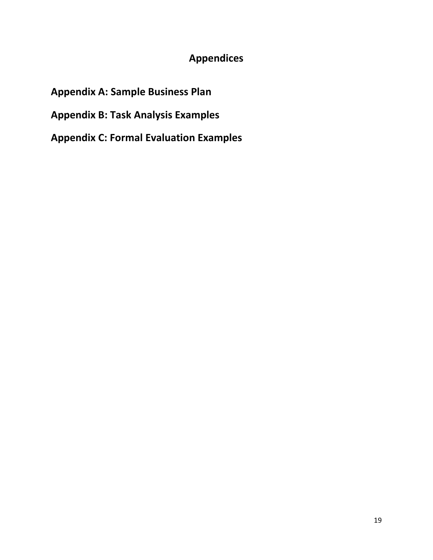# **Appendices**

# **Appendix A: Sample Business Plan**

**Appendix B: Task Analysis Examples** 

**Appendix C: Formal Evaluation Examples**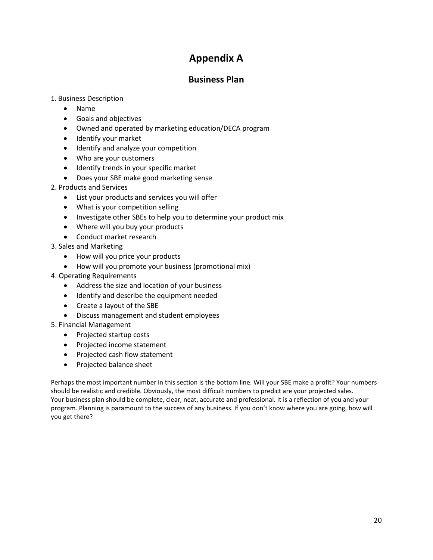# **Appendix A**

#### **Business Plan**

#### <span id="page-19-1"></span><span id="page-19-0"></span>1. Business Description

- Name
- Goals and objectives
- Owned and operated by marketing education/DECA program
- Identify your market
- Identify and analyze your competition
- Who are your customers
- Identify trends in your specific market
- Does your SBE make good marketing sense
- 2. Products and Services
	- List your products and services you will offer
	- What is your competition selling
	- Investigate other SBEs to help you to determine your product mix
	- Where will you buy your products
	- Conduct market research
- 3. Sales and Marketing
	- How will you price your products
	- How will you promote your business (promotional mix)
- 4. Operating Requirements
	- Address the size and location of your business
	- Identify and describe the equipment needed
	- Create a layout of the SBE
	- Discuss management and student employees
- 5. Financial Management
	- Projected startup costs
	- Projected income statement
	- Projected cash flow statement
	- Projected balance sheet

Perhaps the most important number in this section is the bottom line. Will your SBE make a profit? Your numbers should be realistic and credible. Obviously, the most difficult numbers to predict are your projected sales. Your business plan should be complete, clear, neat, accurate and professional. It is a reflection of you and your program. Planning is paramount to the success of any business. If you don't know where you are going, how will you get there?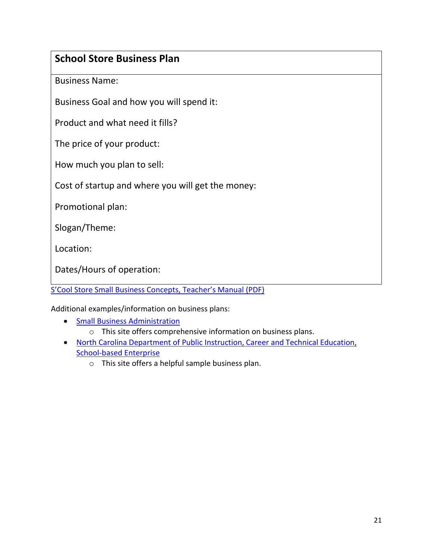# **School Store Business Plan**

Business Name:

Business Goal and how you will spend it:

Product and what need it fills?

The price of your product:

How much you plan to sell:

Cost of startup and where you will get the money:

Promotional plan:

Slogan/Theme:

Location:

Dates/Hours of operation:

[S'Cool Store Small Business Concepts, Teacher's Manual](http://labor.alaska.gov/dvr/transition/scool-store/scool-store-teachers-manual.pdf) (PDF)

Additional examples/information on business plans:

- [Small Business Administration](http://www.sbaonline.sba.gov/starting/%20indexbusplans.html)
	- o This site offers comprehensive information on business plans.
- [North Carolina Department of Public Instruction, Career and Technical Education,](http://www.dpi.state.nc.us/cte/curriculum/work-based/types/enterprise/)  [School-based Enterprise](http://www.dpi.state.nc.us/cte/curriculum/work-based/types/enterprise/)
	- o This site offers a helpful sample business plan.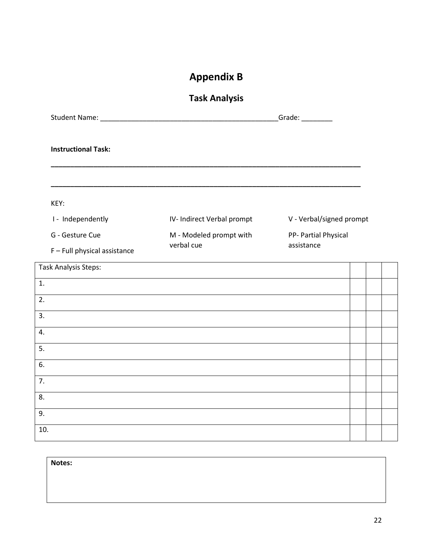# **Appendix B**

# **Task Analysis**

<span id="page-21-1"></span><span id="page-21-0"></span>

| <b>Instructional Task:</b>   |                                                                                                                      |                          |  |  |  |
|------------------------------|----------------------------------------------------------------------------------------------------------------------|--------------------------|--|--|--|
| KEY:                         |                                                                                                                      |                          |  |  |  |
| I - Independently            | IV- Indirect Verbal prompt                                                                                           | V - Verbal/signed prompt |  |  |  |
| G - Gesture Cue              | M - Modeled prompt with                                                                                              | PP- Partial Physical     |  |  |  |
| F - Full physical assistance | verbal cue                                                                                                           | assistance               |  |  |  |
| <b>Task Analysis Steps:</b>  |                                                                                                                      |                          |  |  |  |
| 1.                           |                                                                                                                      |                          |  |  |  |
| 2.                           |                                                                                                                      |                          |  |  |  |
| 3.                           | <u> 1989 - Johann Barn, amerikan bernama di sebagai bernama di sebagai bernama di sebagai bernama di sebagai ber</u> |                          |  |  |  |
| 4.                           |                                                                                                                      |                          |  |  |  |
| 5.                           |                                                                                                                      |                          |  |  |  |
| 6.                           | and the control of the control of the control of the control of the control of the control of the control of the     |                          |  |  |  |
| $\overline{7}$ .             |                                                                                                                      |                          |  |  |  |
| 8.                           |                                                                                                                      |                          |  |  |  |
| 9.                           |                                                                                                                      |                          |  |  |  |
| 10.                          |                                                                                                                      |                          |  |  |  |

| Notes: |  |  |  |
|--------|--|--|--|
|        |  |  |  |
|        |  |  |  |
|        |  |  |  |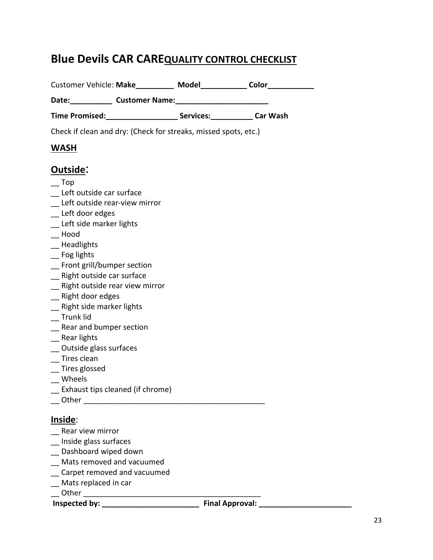# **Blue Devils CAR CAREQUALITY CONTROL CHECKLIST**

|                                        |                                                                           | Customer Vehicle: Make____________ Model_____________ Color___________ |
|----------------------------------------|---------------------------------------------------------------------------|------------------------------------------------------------------------|
|                                        | Date: Customer Name: Customer Name:                                       |                                                                        |
|                                        | Time Promised: _________________________ Services: _____________ Car Wash |                                                                        |
|                                        | Check if clean and dry: (Check for streaks, missed spots, etc.)           |                                                                        |
| <b>WASH</b>                            |                                                                           |                                                                        |
| Outside:                               |                                                                           |                                                                        |
|                                        |                                                                           |                                                                        |
| <b>Top</b><br>Left outside car surface |                                                                           |                                                                        |
| Left outside rear-view mirror          |                                                                           |                                                                        |
| _ Left door edges                      |                                                                           |                                                                        |
| _ Left side marker lights              |                                                                           |                                                                        |
| Hood                                   |                                                                           |                                                                        |
| Headlights                             |                                                                           |                                                                        |
| _ Fog lights                           |                                                                           |                                                                        |
| _ Front grill/bumper section           |                                                                           |                                                                        |
| _ Right outside car surface            |                                                                           |                                                                        |
| _ Right outside rear view mirror       |                                                                           |                                                                        |
| _ Right door edges                     |                                                                           |                                                                        |
| Right side marker lights               |                                                                           |                                                                        |
| Trunk lid                              |                                                                           |                                                                        |
| Rear and bumper section                |                                                                           |                                                                        |
| Rear lights                            |                                                                           |                                                                        |
| Outside glass surfaces                 |                                                                           |                                                                        |
| Tires clean                            |                                                                           |                                                                        |
| Tires glossed                          |                                                                           |                                                                        |
| Wheels                                 |                                                                           |                                                                        |
| Exhaust tips cleaned (if chrome)       |                                                                           |                                                                        |
| Other                                  |                                                                           |                                                                        |
| Inside:                                |                                                                           |                                                                        |
| Rear view mirror                       |                                                                           |                                                                        |
| Inside glass surfaces                  |                                                                           |                                                                        |
| Dashboard wiped down                   |                                                                           |                                                                        |
| Mats removed and vacuumed              |                                                                           |                                                                        |
| Carpet removed and vacuumed            |                                                                           |                                                                        |
| Mats replaced in car                   |                                                                           |                                                                        |

\_\_ Other \_\_\_\_\_\_\_\_\_\_\_\_\_\_\_\_\_\_\_\_\_\_\_\_\_\_\_\_\_\_\_\_\_\_\_\_\_\_\_\_\_\_

**Inspected by: \_\_\_\_\_\_\_\_\_\_\_\_\_\_\_\_\_\_\_\_\_\_\_ Final Approval: \_\_\_\_\_\_\_\_\_\_\_\_\_\_\_\_\_\_\_\_\_\_**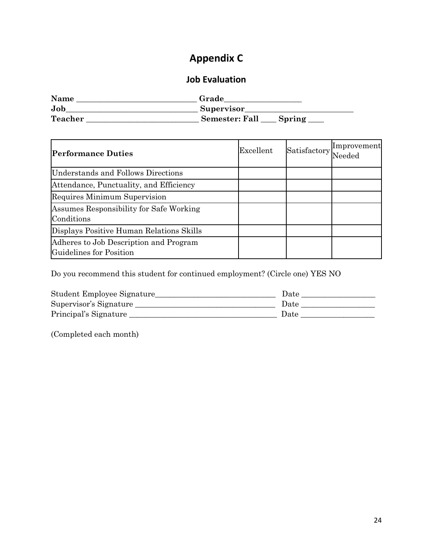# **Appendix C**

# **Job Evaluation**

<span id="page-23-1"></span><span id="page-23-0"></span>

| Name           | Grade                           |
|----------------|---------------------------------|
| Job            | Supervisor                      |
| <b>Teacher</b> | <b>Semester: Fall</b><br>Spring |

| <b>Performance Duties</b>                                         | Excellent | Satisfactory | Improvement<br>Needed |
|-------------------------------------------------------------------|-----------|--------------|-----------------------|
| Understands and Follows Directions                                |           |              |                       |
| Attendance, Punctuality, and Efficiency                           |           |              |                       |
| Requires Minimum Supervision                                      |           |              |                       |
| Assumes Responsibility for Safe Working<br>Conditions             |           |              |                       |
| Displays Positive Human Relations Skills                          |           |              |                       |
| Adheres to Job Description and Program<br>Guidelines for Position |           |              |                       |

Do you recommend this student for continued employment? (Circle one) YES NO

| Student Employee Signature | Date |
|----------------------------|------|
| Supervisor's Signature     | Date |
| Principal's Signature      | Date |

(Completed each month)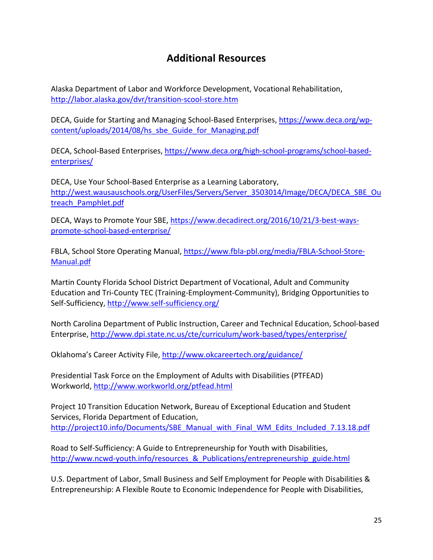# **Additional Resources**

<span id="page-24-0"></span>Alaska Department of Labor and Workforce Development, Vocational Rehabilitation, <http://labor.alaska.gov/dvr/transition-scool-store.htm>

DECA, Guide for Starting and Managing School-Based Enterprises, [https://www.deca.org/wp](https://www.deca.org/wp-content/uploads/2014/08/hs_sbe_Guide_for_Managing.pdf)[content/uploads/2014/08/hs\\_sbe\\_Guide\\_for\\_Managing.pdf](https://www.deca.org/wp-content/uploads/2014/08/hs_sbe_Guide_for_Managing.pdf)

DECA, School-Based Enterprises, [https://www.deca.org/high-school-programs/school-based](https://www.deca.org/high-school-programs/school-based-enterprises/)[enterprises/](https://www.deca.org/high-school-programs/school-based-enterprises/)

DECA, Use Your School-Based Enterprise as a Learning Laboratory, [http://west.wausauschools.org/UserFiles/Servers/Server\\_3503014/Image/DECA/DECA\\_SBE\\_Ou](http://west.wausauschools.org/UserFiles/Servers/Server_3503014/Image/DECA/DECA_SBE_Outreach_Pamphlet.pdf) [treach\\_Pamphlet.pdf](http://west.wausauschools.org/UserFiles/Servers/Server_3503014/Image/DECA/DECA_SBE_Outreach_Pamphlet.pdf)

DECA, Ways to Promote Your SBE, [https://www.decadirect.org/2016/10/21/3-best-ways](https://www.decadirect.org/2016/10/21/3-best-ways-promote-school-based-enterprise/)[promote-school-based-enterprise/](https://www.decadirect.org/2016/10/21/3-best-ways-promote-school-based-enterprise/)

FBLA, School Store Operating Manual, [https://www.fbla-pbl.org/media/FBLA-School-Store-](https://www.fbla-pbl.org/media/FBLA-School-Store-Manual.pdf)[Manual.pdf](https://www.fbla-pbl.org/media/FBLA-School-Store-Manual.pdf)

Martin County Florida School District Department of Vocational, Adult and Community Education and Tri-County TEC (Training-Employment-Community), Bridging Opportunities to Self-Sufficiency,<http://www.self-sufficiency.org/>

North Carolina Department of Public Instruction, Career and Technical Education, School-based Enterprise,<http://www.dpi.state.nc.us/cte/curriculum/work-based/types/enterprise/>

Oklahoma's Career Activity File,<http://www.okcareertech.org/guidance/>

Presidential Task Force on the Employment of Adults with Disabilities (PTFEAD) Workworld,<http://www.workworld.org/ptfead.html>

Project 10 Transition Education Network, Bureau of Exceptional Education and Student Services, Florida Department of Education, [http://project10.info/Documents/SBE\\_Manual\\_with\\_Final\\_WM\\_Edits\\_Included\\_7.13.18.pdf](http://project10.info/Documents/SBE_Manual_with_Final_WM_Edits_Included_7.13.18.pdf)

Road to Self-Sufficiency: A Guide to Entrepreneurship for Youth with Disabilities, http://www.ncwd-youth.info/resources & Publications/entrepreneurship\_guide.html

U.S. Department of Labor, Small Business and Self Employment for People with Disabilities & Entrepreneurship: A Flexible Route to Economic Independence for People with Disabilities,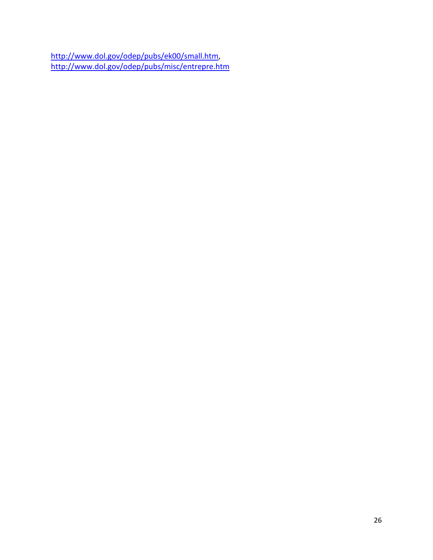[http://www.dol.gov/odep/pubs/ek00/small.htm,](http://www.dol.gov/odep/pubs/ek00/small.htm) <http://www.dol.gov/odep/pubs/misc/entrepre.htm>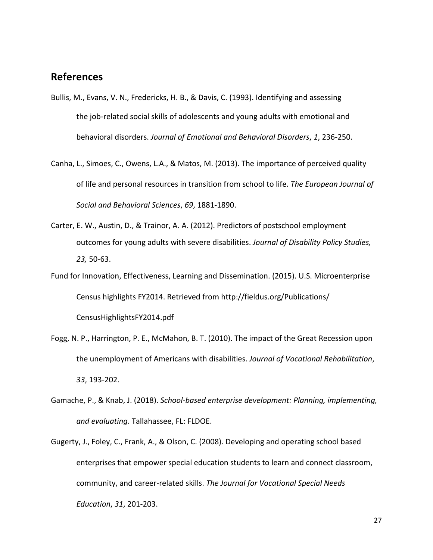## <span id="page-26-0"></span>**References**

- Bullis, M., Evans, V. N., Fredericks, H. B., & Davis, C. (1993). Identifying and assessing the job-related social skills of adolescents and young adults with emotional and behavioral disorders. *Journal of Emotional and Behavioral Disorders*, *1*, 236-250.
- Canha, L., Simoes, C., Owens, L.A., & Matos, M. (2013). The importance of perceived quality of life and personal resources in transition from school to life. *The European Journal of Social and Behavioral Sciences*, *69*, 1881-1890.
- Carter, E. W., Austin, D., & Trainor, A. A. (2012). Predictors of postschool employment outcomes for young adults with severe disabilities. *Journal of Disability Policy Studies, 23,* 50-63.
- Fund for Innovation, Effectiveness, Learning and Dissemination. (2015). U.S. Microenterprise Census highlights FY2014. Retrieved from http://fieldus.org/Publications/ CensusHighlightsFY2014.pdf
- Fogg, N. P., Harrington, P. E., McMahon, B. T. (2010). The impact of the Great Recession upon the unemployment of Americans with disabilities. *Journal of Vocational Rehabilitation*, *33*, 193-202.
- Gamache, P., & Knab, J. (2018). *School-based enterprise development: Planning, implementing, and evaluating*. Tallahassee, FL: FLDOE.
- Gugerty, J., Foley, C., Frank, A., & Olson, C. (2008). Developing and operating school based enterprises that empower special education students to learn and connect classroom, community, and career-related skills. *The Journal for Vocational Special Needs Education*, *31*, 201-203.